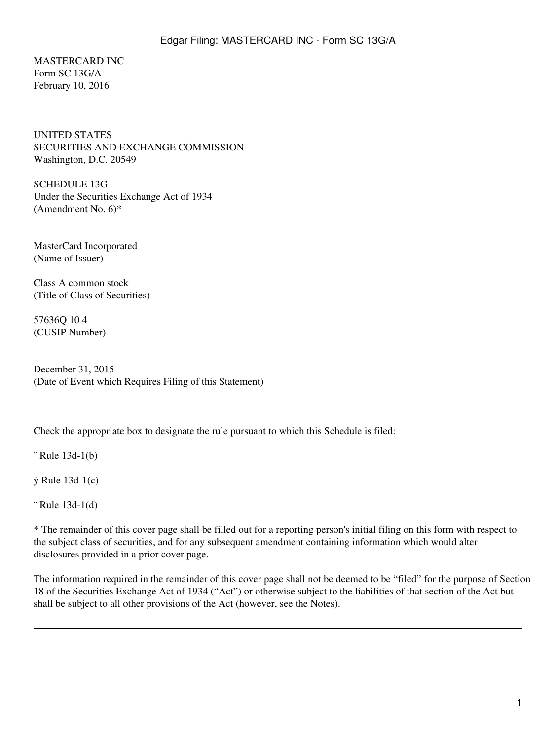MASTERCARD INC Form SC 13G/A February 10, 2016

UNITED STATES SECURITIES AND EXCHANGE COMMISSION Washington, D.C. 20549

SCHEDULE 13G Under the Securities Exchange Act of 1934 (Amendment No. 6)\*

MasterCard Incorporated (Name of Issuer)

Class A common stock (Title of Class of Securities)

57636Q 10 4 (CUSIP Number)

December 31, 2015 (Date of Event which Requires Filing of this Statement)

Check the appropriate box to designate the rule pursuant to which this Schedule is filed:

¨ Rule 13d-1(b)

ý Rule 13d-1(c)

¨ Rule 13d-1(d)

\* The remainder of this cover page shall be filled out for a reporting person's initial filing on this form with respect to the subject class of securities, and for any subsequent amendment containing information which would alter disclosures provided in a prior cover page.

The information required in the remainder of this cover page shall not be deemed to be "filed" for the purpose of Section 18 of the Securities Exchange Act of 1934 ("Act") or otherwise subject to the liabilities of that section of the Act but shall be subject to all other provisions of the Act (however, see the Notes).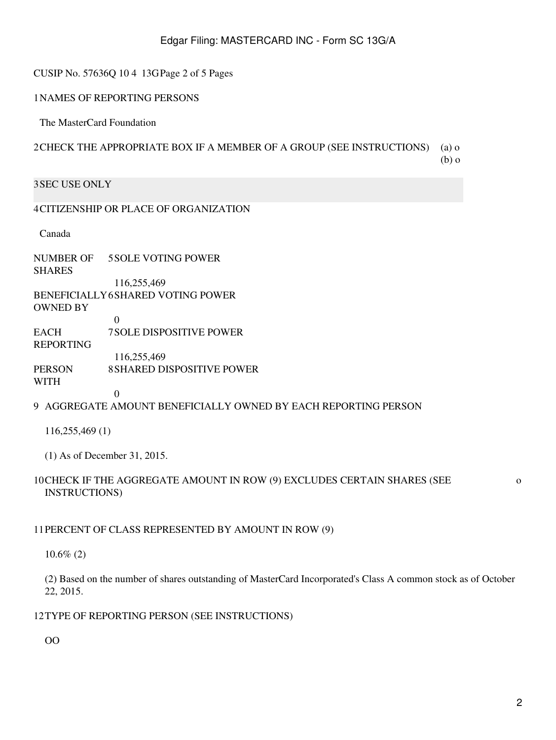# Edgar Filing: MASTERCARD INC - Form SC 13G/A

#### CUSIP No. 57636Q 10 4 13GPage 2 of 5 Pages

#### 1NAMES OF REPORTING PERSONS

The MasterCard Foundation

# 2CHECK THE APPROPRIATE BOX IF A MEMBER OF A GROUP (SEE INSTRUCTIONS) (a) o (b) o

### 3SEC USE ONLY

#### 4CITIZENSHIP OR PLACE OF ORGANIZATION

Canada

NUMBER OF SHARES 5SOLE VOTING POWER 116,255,469 BENEFICIALLY 6SHARED VOTING POWER OWNED BY 0 **EACH** 7SOLE DISPOSITIVE POWER

REPORTING

- 116,255,469
- PERSON 8SHARED DISPOSITIVE POWER
- WITH

### 9 AGGREGATE AMOUNT BENEFICIALLY OWNED BY EACH REPORTING PERSON

116,255,469 (1)

(1) As of December 31, 2015.

 $\Omega$ 

#### 10CHECK IF THE AGGREGATE AMOUNT IN ROW (9) EXCLUDES CERTAIN SHARES (SEE INSTRUCTIONS)

### 11PERCENT OF CLASS REPRESENTED BY AMOUNT IN ROW (9)

10.6% (2)

(2) Based on the number of shares outstanding of MasterCard Incorporated's Class A common stock as of October 22, 2015.

#### 12TYPE OF REPORTING PERSON (SEE INSTRUCTIONS)

OO

o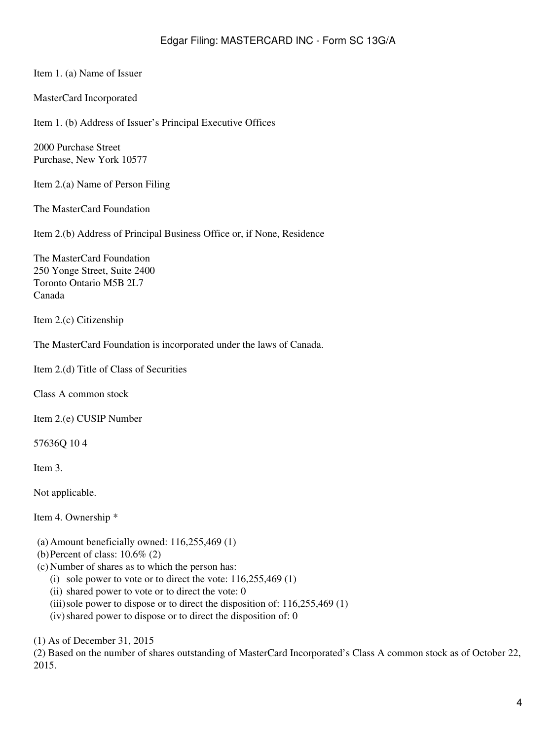Item 1. (a) Name of Issuer

MasterCard Incorporated

Item 1. (b) Address of Issuer's Principal Executive Offices

2000 Purchase Street Purchase, New York 10577

Item 2.(a) Name of Person Filing

The MasterCard Foundation

Item 2.(b) Address of Principal Business Office or, if None, Residence

The MasterCard Foundation 250 Yonge Street, Suite 2400 Toronto Ontario M5B 2L7 Canada

Item 2.(c) Citizenship

The MasterCard Foundation is incorporated under the laws of Canada.

Item 2.(d) Title of Class of Securities

Class A common stock

Item 2.(e) CUSIP Number

57636Q 10 4

Item 3.

Not applicable.

Item 4. Ownership \*

- (a) Amount beneficially owned: 116,255,469 (1)
- (b)Percent of class: 10.6% (2)
- (c) Number of shares as to which the person has:
	- (i) sole power to vote or to direct the vote:  $116,255,469(1)$
	- (ii) shared power to vote or to direct the vote: 0
	- (iii) sole power to dispose or to direct the disposition of:  $116,255,469$  (1)
	- $(iv)$  shared power to dispose or to direct the disposition of: 0

(1) As of December 31, 2015

(2) Based on the number of shares outstanding of MasterCard Incorporated's Class A common stock as of October 22, 2015.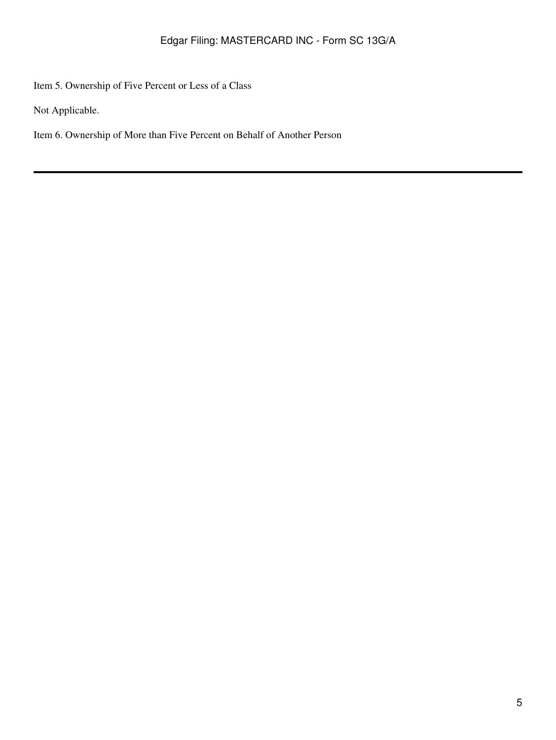Item 5. Ownership of Five Percent or Less of a Class

Not Applicable.

Item 6. Ownership of More than Five Percent on Behalf of Another Person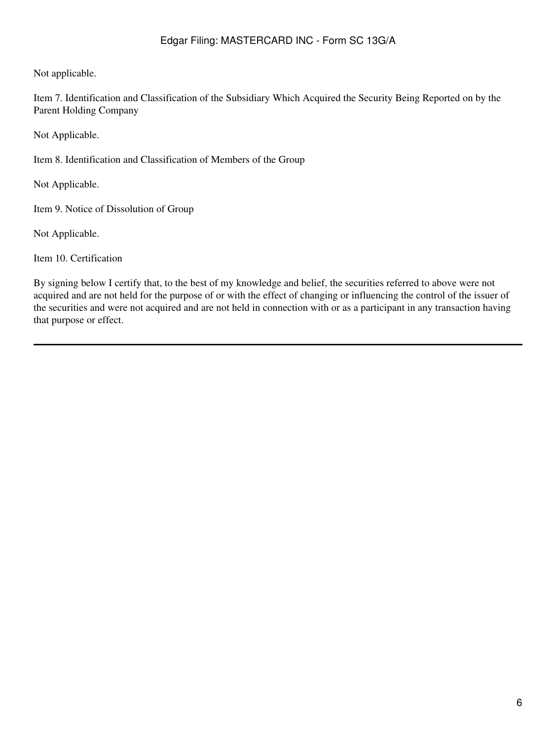# Edgar Filing: MASTERCARD INC - Form SC 13G/A

Not applicable.

Item 7. Identification and Classification of the Subsidiary Which Acquired the Security Being Reported on by the Parent Holding Company

Not Applicable.

Item 8. Identification and Classification of Members of the Group

Not Applicable.

Item 9. Notice of Dissolution of Group

Not Applicable.

Item 10. Certification

By signing below I certify that, to the best of my knowledge and belief, the securities referred to above were not acquired and are not held for the purpose of or with the effect of changing or influencing the control of the issuer of the securities and were not acquired and are not held in connection with or as a participant in any transaction having that purpose or effect.